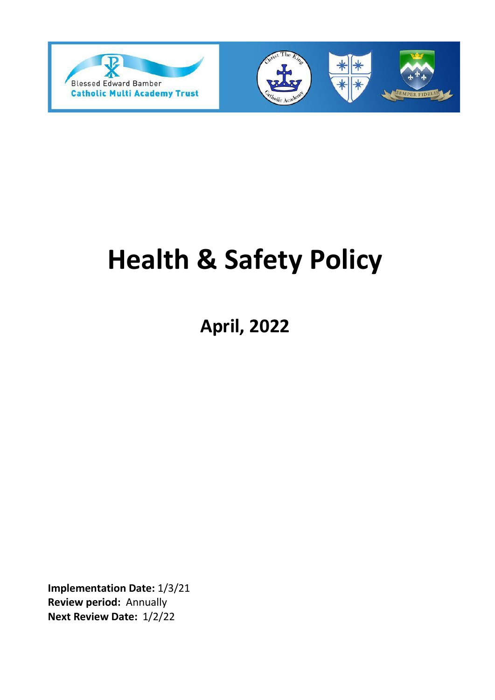





**April, 2022**

**Implementation Date:** 1/3/21 **Review period:** Annually **Next Review Date:** 1/2/22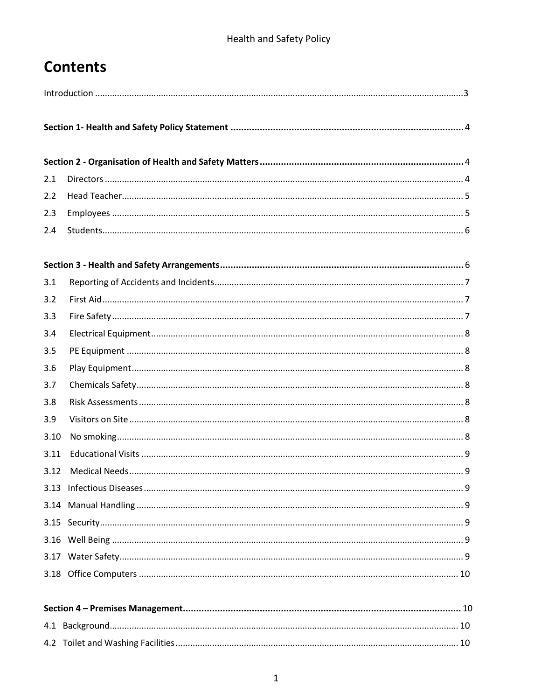### **Contents**

| 2.1  |  |  |  |
|------|--|--|--|
| 2.2  |  |  |  |
| 2.3  |  |  |  |
| 2.4  |  |  |  |
|      |  |  |  |
| 3.1  |  |  |  |
| 3.2  |  |  |  |
| 3.3  |  |  |  |
| 3.4  |  |  |  |
| 3.5  |  |  |  |
| 3.6  |  |  |  |
| 3.7  |  |  |  |
| 3.8  |  |  |  |
| 3.9  |  |  |  |
| 3.10 |  |  |  |
| 3.11 |  |  |  |
| 3.12 |  |  |  |
|      |  |  |  |
|      |  |  |  |
|      |  |  |  |
|      |  |  |  |
|      |  |  |  |
|      |  |  |  |
|      |  |  |  |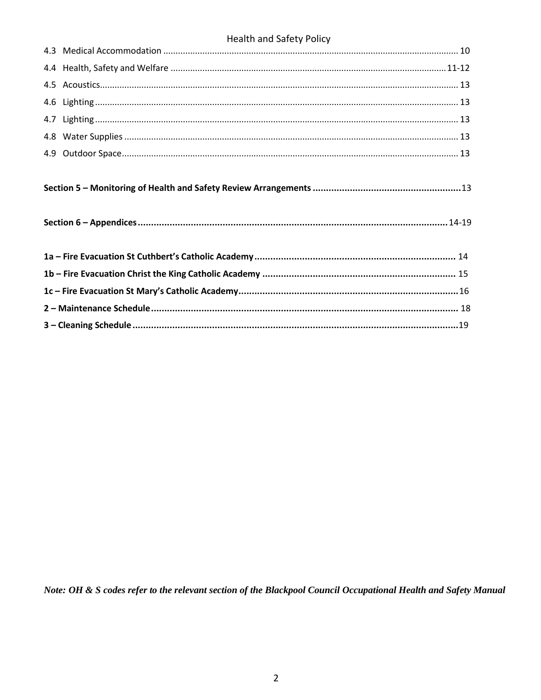Note: OH & S codes refer to the relevant section of the Blackpool Council Occupational Health and Safety Manual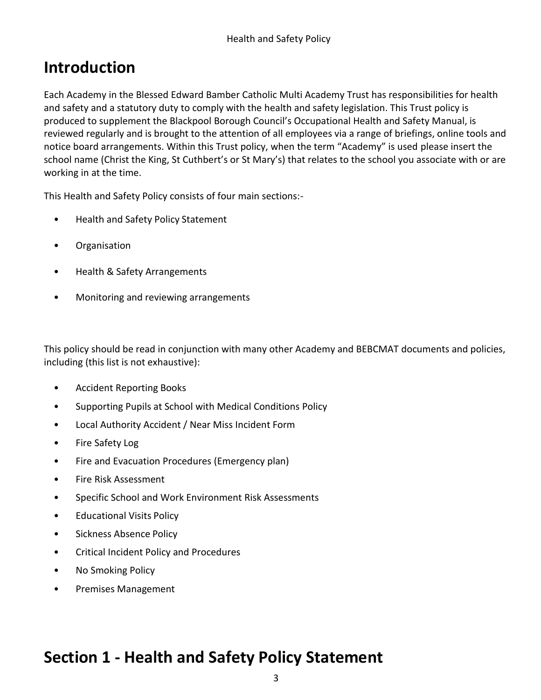### <span id="page-3-0"></span>**Introduction**

Each Academy in the Blessed Edward Bamber Catholic Multi Academy Trust has responsibilities for health and safety and a statutory duty to comply with the health and safety legislation. This Trust policy is produced to supplement the Blackpool Borough Council's Occupational Health and Safety Manual, is reviewed regularly and is brought to the attention of all employees via a range of briefings, online tools and notice board arrangements. Within this Trust policy, when the term "Academy" is used please insert the school name (Christ the King, St Cuthbert's or St Mary's) that relates to the school you associate with or are working in at the time.

This Health and Safety Policy consists of four main sections:-

- Health and Safety Policy Statement
- Organisation
- Health & Safety Arrangements
- Monitoring and reviewing arrangements

This policy should be read in conjunction with many other Academy and BEBCMAT documents and policies, including (this list is not exhaustive):

- Accident Reporting Books
- Supporting Pupils at School with Medical Conditions Policy
- Local Authority Accident / Near Miss Incident Form
- Fire Safety Log
- Fire and Evacuation Procedures (Emergency plan)
- Fire Risk Assessment
- Specific School and Work Environment Risk Assessments
- Educational Visits Policy
- Sickness Absence Policy
- Critical Incident Policy and Procedures
- No Smoking Policy
- Premises Management

### <span id="page-3-1"></span>**Section 1 - Health and Safety Policy Statement**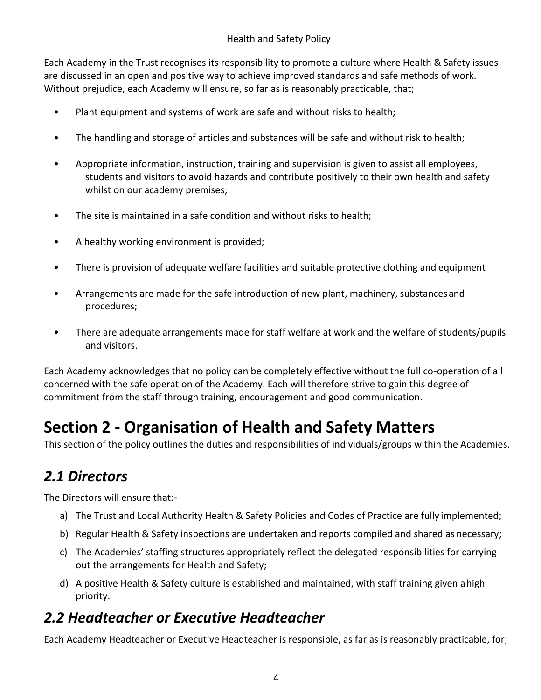Each Academy in the Trust recognises its responsibility to promote a culture where Health & Safety issues are discussed in an open and positive way to achieve improved standards and safe methods of work. Without prejudice, each Academy will ensure, so far as is reasonably practicable, that;

- Plant equipment and systems of work are safe and without risks to health;
- The handling and storage of articles and substances will be safe and without risk to health;
- Appropriate information, instruction, training and supervision is given to assist all employees, students and visitors to avoid hazards and contribute positively to their own health and safety whilst on our academy premises;
- The site is maintained in a safe condition and without risks to health;
- A healthy working environment is provided;
- There is provision of adequate welfare facilities and suitable protective clothing and equipment
- Arrangements are made for the safe introduction of new plant, machinery, substancesand procedures;
- There are adequate arrangements made for staff welfare at work and the welfare of students/pupils and visitors.

Each Academy acknowledges that no policy can be completely effective without the full co-operation of all concerned with the safe operation of the Academy. Each will therefore strive to gain this degree of commitment from the staff through training, encouragement and good communication.

# <span id="page-4-0"></span>**Section 2 - Organisation of Health and Safety Matters**

This section of the policy outlines the duties and responsibilities of individuals/groups within the Academies.

### <span id="page-4-1"></span>*2.1 Directors*

The Directors will ensure that:-

- a) The Trust and Local Authority Health & Safety Policies and Codes of Practice are fully implemented;
- b) Regular Health & Safety inspections are undertaken and reports compiled and shared as necessary;
- c) The Academies' staffing structures appropriately reflect the delegated responsibilities for carrying out the arrangements for Health and Safety;
- d) A positive Health & Safety culture is established and maintained, with staff training given ahigh priority.

### *2.2 Headteacher or Executive Headteacher*

Each Academy Headteacher or Executive Headteacher is responsible, as far as is reasonably practicable, for;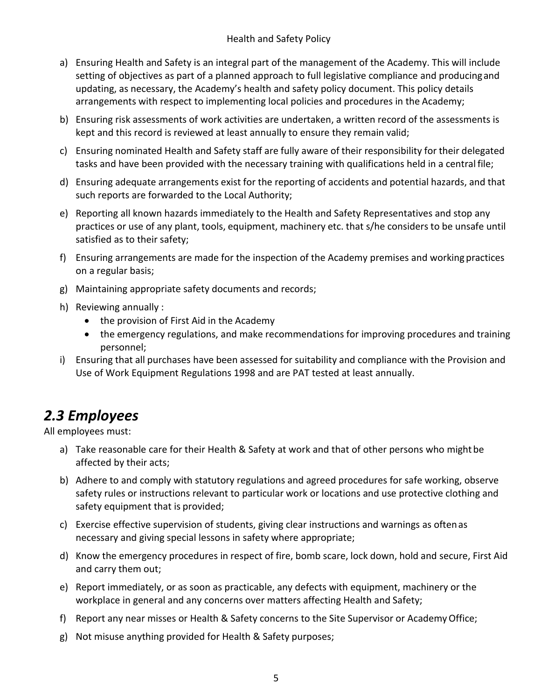- a) Ensuring Health and Safety is an integral part of the management of the Academy. This will include setting of objectives as part of a planned approach to full legislative compliance and producingand updating, as necessary, the Academy's health and safety policy document. This policy details arrangements with respect to implementing local policies and procedures in the Academy;
- b) Ensuring risk assessments of work activities are undertaken, a written record of the assessments is kept and this record is reviewed at least annually to ensure they remain valid;
- c) Ensuring nominated Health and Safety staff are fully aware of their responsibility for their delegated tasks and have been provided with the necessary training with qualifications held in a centralfile;
- d) Ensuring adequate arrangements exist for the reporting of accidents and potential hazards, and that such reports are forwarded to the Local Authority;
- e) Reporting all known hazards immediately to the Health and Safety Representatives and stop any practices or use of any plant, tools, equipment, machinery etc. that s/he considers to be unsafe until satisfied as to their safety;
- f) Ensuring arrangements are made for the inspection of the Academy premises and workingpractices on a regular basis;
- g) Maintaining appropriate safety documents and records;
- h) Reviewing annually :
	- the provision of First Aid in the Academy
	- the emergency regulations, and make recommendations for improving procedures and training personnel;
- i) Ensuring that all purchases have been assessed for suitability and compliance with the Provision and Use of Work Equipment Regulations 1998 and are PAT tested at least annually.

### <span id="page-5-0"></span>*2.3 Employees*

All employees must:

- a) Take reasonable care for their Health & Safety at work and that of other persons who might be affected by their acts;
- b) Adhere to and comply with statutory regulations and agreed procedures for safe working, observe safety rules or instructions relevant to particular work or locations and use protective clothing and safety equipment that is provided;
- c) Exercise effective supervision of students, giving clear instructions and warnings as oftenas necessary and giving special lessons in safety where appropriate;
- d) Know the emergency procedures in respect of fire, bomb scare, lock down, hold and secure, First Aid and carry them out;
- e) Report immediately, or as soon as practicable, any defects with equipment, machinery or the workplace in general and any concerns over matters affecting Health and Safety;
- f) Report any near misses or Health & Safety concerns to the Site Supervisor or AcademyOffice;
- g) Not misuse anything provided for Health & Safety purposes;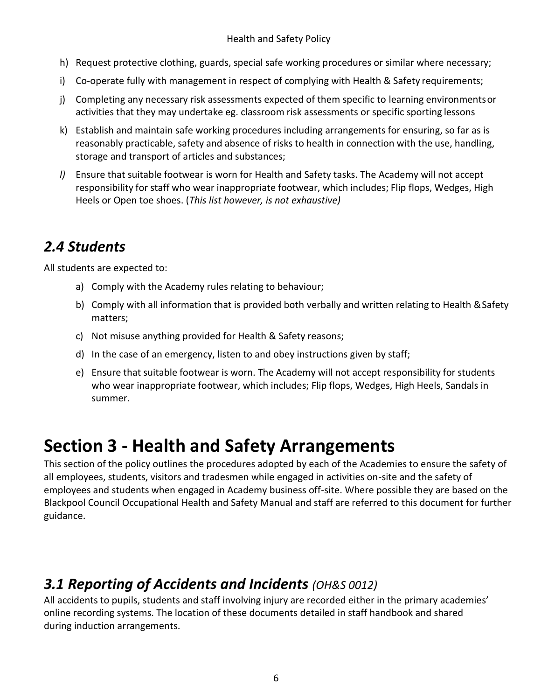- h) Request protective clothing, guards, special safe working procedures or similar where necessary;
- i) Co-operate fully with management in respect of complying with Health & Safety requirements;
- j) Completing any necessary risk assessments expected of them specific to learning environmentsor activities that they may undertake eg. classroom risk assessments or specific sporting lessons
- k) Establish and maintain safe working procedures including arrangements for ensuring, so far as is reasonably practicable, safety and absence of risks to health in connection with the use, handling, storage and transport of articles and substances;
- *l)* Ensure that suitable footwear is worn for Health and Safety tasks. The Academy will not accept responsibility for staff who wear inappropriate footwear, which includes; Flip flops, Wedges, High Heels or Open toe shoes. (*This list however, is not exhaustive)*

### <span id="page-6-0"></span>*2.4 Students*

All students are expected to:

- a) Comply with the Academy rules relating to behaviour;
- b) Comply with all information that is provided both verbally and written relating to Health & Safety matters;
- c) Not misuse anything provided for Health & Safety reasons;
- d) In the case of an emergency, listen to and obey instructions given by staff;
- e) Ensure that suitable footwear is worn. The Academy will not accept responsibility for students who wear inappropriate footwear, which includes; Flip flops, Wedges, High Heels, Sandals in summer.

# <span id="page-6-1"></span>**Section 3 - Health and Safety Arrangements**

This section of the policy outlines the procedures adopted by each of the Academies to ensure the safety of all employees, students, visitors and tradesmen while engaged in activities on-site and the safety of employees and students when engaged in Academy business off-site. Where possible they are based on the Blackpool Council Occupational Health and Safety Manual and staff are referred to this document for further guidance.

### *3.1 Reporting of Accidents and Incidents (OH&S 0012)*

All accidents to pupils, students and staff involving injury are recorded either in the primary academies' online recording systems. The location of these documents detailed in staff handbook and shared during induction arrangements.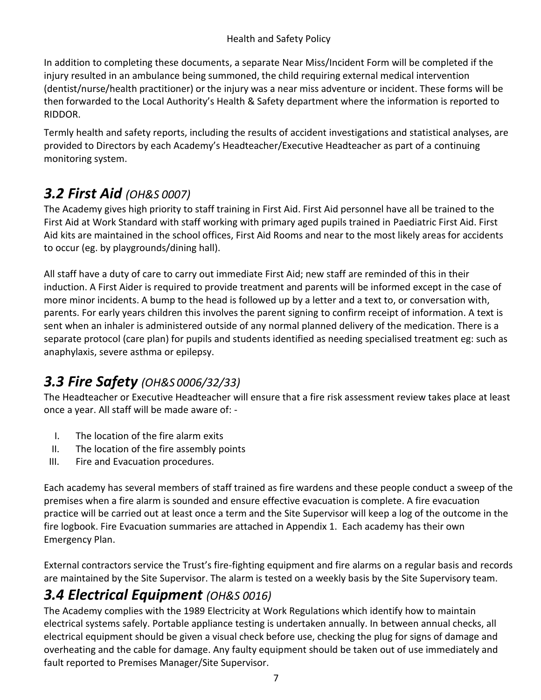In addition to completing these documents, a separate Near Miss/Incident Form will be completed if the injury resulted in an ambulance being summoned, the child requiring external medical intervention (dentist/nurse/health practitioner) or the injury was a near miss adventure or incident. These forms will be then forwarded to the Local Authority's Health & Safety department where the information is reported to RIDDOR.

Termly health and safety reports, including the results of accident investigations and statistical analyses, are provided to Directors by each Academy's Headteacher/Executive Headteacher as part of a continuing monitoring system.

### *3.2 First Aid (OH&S 0007)*

The Academy gives high priority to staff training in First Aid. First Aid personnel have all be trained to the First Aid at Work Standard with staff working with primary aged pupils trained in Paediatric First Aid. First Aid kits are maintained in the school offices, First Aid Rooms and near to the most likely areas for accidents to occur (eg. by playgrounds/dining hall).

All staff have a duty of care to carry out immediate First Aid; new staff are reminded of this in their induction. A First Aider is required to provide treatment and parents will be informed except in the case of more minor incidents. A bump to the head is followed up by a letter and a text to, or conversation with, parents. For early years children this involves the parent signing to confirm receipt of information. A text is sent when an inhaler is administered outside of any normal planned delivery of the medication. There is a separate protocol (care plan) for pupils and students identified as needing specialised treatment eg: such as anaphylaxis, severe asthma or epilepsy.

### *3.3 Fire Safety (OH&S 0006/32/33)*

The Headteacher or Executive Headteacher will ensure that a fire risk assessment review takes place at least once a year. All staff will be made aware of: -

- I. The location of the fire alarm exits
- II. The location of the fire assembly points
- III. Fire and Evacuation procedures.

Each academy has several members of staff trained as fire wardens and these people conduct a sweep of the premises when a fire alarm is sounded and ensure effective evacuation is complete. A fire evacuation practice will be carried out at least once a term and the Site Supervisor will keep a log of the outcome in the fire logbook. Fire Evacuation summaries are attached in Appendix 1. Each academy has their own Emergency Plan.

External contractors service the Trust's fire-fighting equipment and fire alarms on a regular basis and records are maintained by the Site Supervisor. The alarm is tested on a weekly basis by the Site Supervisory team.

### *3.4 Electrical Equipment (OH&S 0016)*

The Academy complies with the 1989 Electricity at Work Regulations which identify how to maintain electrical systems safely. Portable appliance testing is undertaken annually. In between annual checks, all electrical equipment should be given a visual check before use, checking the plug for signs of damage and overheating and the cable for damage. Any faulty equipment should be taken out of use immediately and fault reported to Premises Manager/Site Supervisor.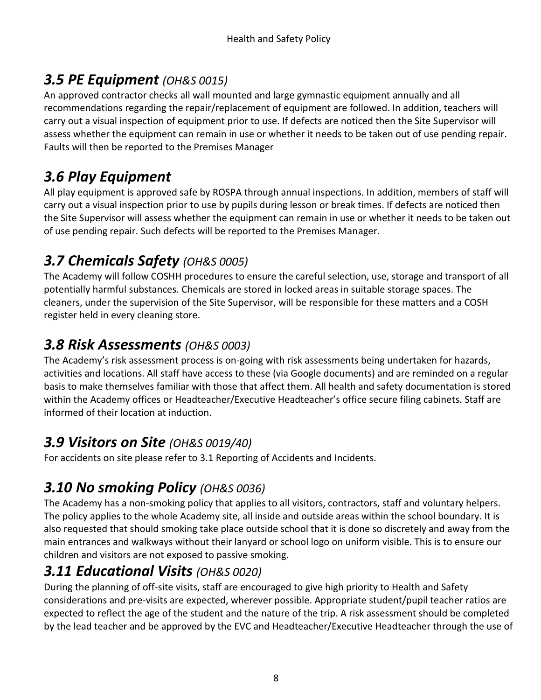### *3.5 PE Equipment (OH&S 0015)*

An approved contractor checks all wall mounted and large gymnastic equipment annually and all recommendations regarding the repair/replacement of equipment are followed. In addition, teachers will carry out a visual inspection of equipment prior to use. If defects are noticed then the Site Supervisor will assess whether the equipment can remain in use or whether it needs to be taken out of use pending repair. Faults will then be reported to the Premises Manager

### <span id="page-8-0"></span>*3.6 Play Equipment*

All play equipment is approved safe by ROSPA through annual inspections. In addition, members of staff will carry out a visual inspection prior to use by pupils during lesson or break times. If defects are noticed then the Site Supervisor will assess whether the equipment can remain in use or whether it needs to be taken out of use pending repair. Such defects will be reported to the Premises Manager.

### *3.7 Chemicals Safety (OH&S 0005)*

The Academy will follow COSHH procedures to ensure the careful selection, use, storage and transport of all potentially harmful substances. Chemicals are stored in locked areas in suitable storage spaces. The cleaners, under the supervision of the Site Supervisor, will be responsible for these matters and a COSH register held in every cleaning store.

### *3.8 Risk Assessments (OH&S 0003)*

The Academy's risk assessment process is on-going with risk assessments being undertaken for hazards, activities and locations. All staff have access to these (via Google documents) and are reminded on a regular basis to make themselves familiar with those that affect them. All health and safety documentation is stored within the Academy offices or Headteacher/Executive Headteacher's office secure filing cabinets. Staff are informed of their location at induction.

### *3.9 Visitors on Site (OH&S 0019/40)*

For accidents on site please refer to 3.1 Reporting of Accidents and Incidents.

### *3.10 No smoking Policy (OH&S 0036)*

The Academy has a non-smoking policy that applies to all visitors, contractors, staff and voluntary helpers. The policy applies to the whole Academy site, all inside and outside areas within the school boundary. It is also requested that should smoking take place outside school that it is done so discretely and away from the main entrances and walkways without their lanyard or school logo on uniform visible. This is to ensure our children and visitors are not exposed to passive smoking.

### *3.11 Educational Visits (OH&S 0020)*

During the planning of off-site visits, staff are encouraged to give high priority to Health and Safety considerations and pre-visits are expected, wherever possible. Appropriate student/pupil teacher ratios are expected to reflect the age of the student and the nature of the trip. A risk assessment should be completed by the lead teacher and be approved by the EVC and Headteacher/Executive Headteacher through the use of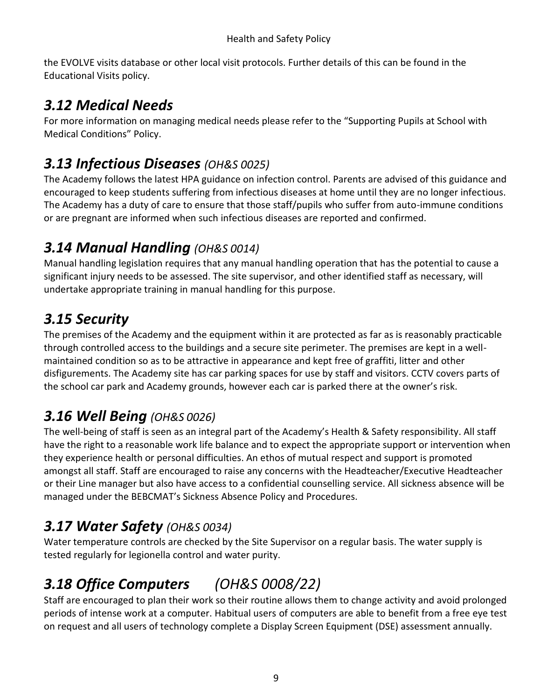the EVOLVE visits database or other local visit protocols. Further details of this can be found in the Educational Visits policy.

### <span id="page-9-0"></span>*3.12 Medical Needs*

For more information on managing medical needs please refer to the "Supporting Pupils at School with Medical Conditions" Policy.

### *3.13 Infectious Diseases (OH&S 0025)*

The Academy follows the latest HPA guidance on infection control. Parents are advised of this guidance and encouraged to keep students suffering from infectious diseases at home until they are no longer infectious. The Academy has a duty of care to ensure that those staff/pupils who suffer from auto-immune conditions or are pregnant are informed when such infectious diseases are reported and confirmed.

### *3.14 Manual Handling (OH&S 0014)*

Manual handling legislation requires that any manual handling operation that has the potential to cause a significant injury needs to be assessed. The site supervisor, and other identified staff as necessary, will undertake appropriate training in manual handling for this purpose.

### <span id="page-9-1"></span>*3.15 Security*

The premises of the Academy and the equipment within it are protected as far as is reasonably practicable through controlled access to the buildings and a secure site perimeter. The premises are kept in a wellmaintained condition so as to be attractive in appearance and kept free of graffiti, litter and other disfigurements. The Academy site has car parking spaces for use by staff and visitors. CCTV covers parts of the school car park and Academy grounds, however each car is parked there at the owner's risk.

### *3.16 Well Being (OH&S 0026)*

The well-being of staff is seen as an integral part of the Academy's Health & Safety responsibility. All staff have the right to a reasonable work life balance and to expect the appropriate support or intervention when they experience health or personal difficulties. An ethos of mutual respect and support is promoted amongst all staff. Staff are encouraged to raise any concerns with the Headteacher/Executive Headteacher or their Line manager but also have access to a confidential counselling service. All sickness absence will be managed under the BEBCMAT's Sickness Absence Policy and Procedures.

### *3.17 Water Safety (OH&S 0034)*

Water temperature controls are checked by the Site Supervisor on a regular basis. The water supply is tested regularly for legionella control and water purity.

# *3.18 Office Computers (OH&S 0008/22)*

Staff are encouraged to plan their work so their routine allows them to change activity and avoid prolonged periods of intense work at a computer. Habitual users of computers are able to benefit from a free eye test on request and all users of technology complete a Display Screen Equipment (DSE) assessment annually.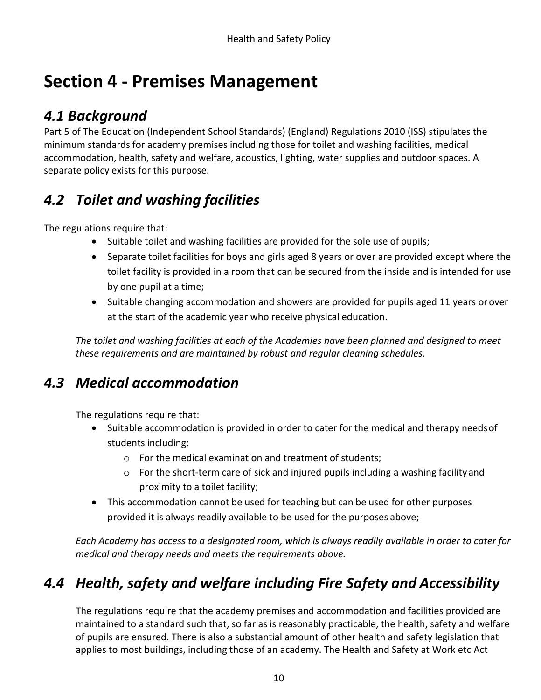# <span id="page-10-0"></span>**Section 4 - Premises Management**

### <span id="page-10-1"></span>*4.1 Background*

Part 5 of The Education (Independent School Standards) (England) Regulations 2010 (ISS) stipulates the minimum standards for academy premises including those for toilet and washing facilities, medical accommodation, health, safety and welfare, acoustics, lighting, water supplies and outdoor spaces. A separate policy exists for this purpose.

### <span id="page-10-2"></span>*4.2 Toilet and washing facilities*

The regulations require that:

- Suitable toilet and washing facilities are provided for the sole use of pupils;
- Separate toilet facilities for boys and girls aged 8 years or over are provided except where the toilet facility is provided in a room that can be secured from the inside and is intended for use by one pupil at a time;
- Suitable changing accommodation and showers are provided for pupils aged 11 years orover at the start of the academic year who receive physical education.

*The toilet and washing facilities at each of the Academies have been planned and designed to meet these requirements and are maintained by robust and regular cleaning schedules.*

### <span id="page-10-3"></span>*4.3 Medical accommodation*

The regulations require that:

- Suitable accommodation is provided in order to cater for the medical and therapy needsof students including:
	- o For the medical examination and treatment of students;
	- $\circ$  For the short-term care of sick and injured pupils including a washing facility and proximity to a toilet facility;
- This accommodation cannot be used for teaching but can be used for other purposes provided it is always readily available to be used for the purposes above;

*Each Academy has access to a designated room, which is always readily available in order to cater for medical and therapy needs and meets the requirements above.*

### *4.4 Health, safety and welfare including Fire Safety and Accessibility*

The regulations require that the academy premises and accommodation and facilities provided are maintained to a standard such that, so far as is reasonably practicable, the health, safety and welfare of pupils are ensured. There is also a substantial amount of other health and safety legislation that applies to most buildings, including those of an academy. The Health and Safety at Work etc Act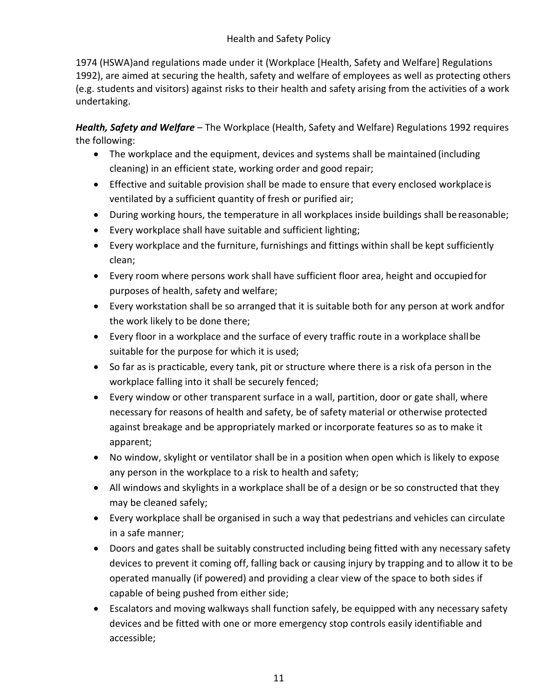1974 (HSWA)and regulations made under it (Workplace [Health, Safety and Welfare] Regulations 1992), are aimed at securing the health, safety and welfare of employees as well as protecting others (e.g. students and visitors) against risks to their health and safety arising from the activities of a work undertaking.

*Health, Safety and Welfare* – The Workplace (Health, Safety and Welfare) Regulations 1992 requires the following:

- The workplace and the equipment, devices and systems shall be maintained (including cleaning) in an efficient state, working order and good repair;
- Effective and suitable provision shall be made to ensure that every enclosed workplaceis ventilated by a sufficient quantity of fresh or purified air;
- During working hours, the temperature in all workplaces inside buildings shall be reasonable;
- Every workplace shall have suitable and sufficient lighting;
- Every workplace and the furniture, furnishings and fittings within shall be kept sufficiently clean;
- Every room where persons work shall have sufficient floor area, height and occupiedfor purposes of health, safety and welfare;
- Every workstation shall be so arranged that it is suitable both for any person at work andfor the work likely to be done there;
- Every floor in a workplace and the surface of every traffic route in a workplace shallbe suitable for the purpose for which it is used;
- So far as is practicable, every tank, pit or structure where there is a risk ofa person in the workplace falling into it shall be securely fenced;
- Every window or other transparent surface in a wall, partition, door or gate shall, where necessary for reasons of health and safety, be of safety material or otherwise protected against breakage and be appropriately marked or incorporate features so as to make it apparent;
- No window, skylight or ventilator shall be in a position when open which is likely to expose any person in the workplace to a risk to health and safety;
- All windows and skylights in a workplace shall be of a design or be so constructed that they may be cleaned safely;
- Every workplace shall be organised in such a way that pedestrians and vehicles can circulate in a safe manner;
- Doors and gates shall be suitably constructed including being fitted with any necessary safety devices to prevent it coming off, falling back or causing injury by trapping and to allow it to be operated manually (if powered) and providing a clear view of the space to both sides if capable of being pushed from either side;
- Escalators and moving walkways shall function safely, be equipped with any necessary safety devices and be fitted with one or more emergency stop controls easily identifiable and accessible;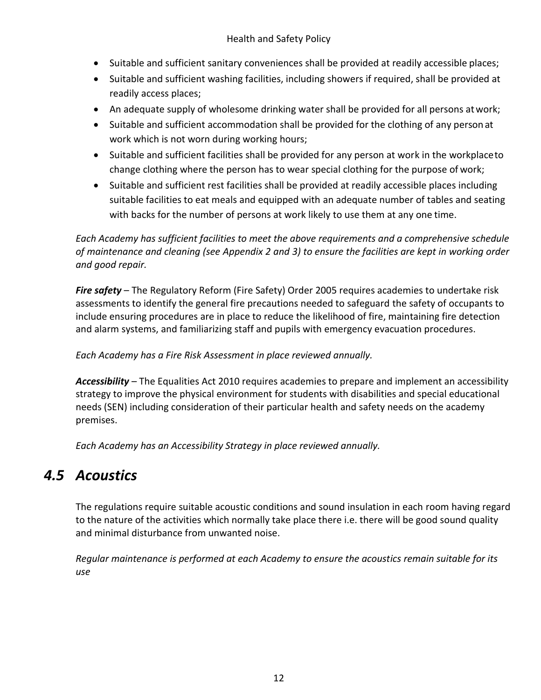- Suitable and sufficient sanitary conveniences shall be provided at readily accessible places;
- Suitable and sufficient washing facilities, including showers if required, shall be provided at readily access places;
- An adequate supply of wholesome drinking water shall be provided for all persons at work;
- Suitable and sufficient accommodation shall be provided for the clothing of any personat work which is not worn during working hours;
- Suitable and sufficient facilities shall be provided for any person at work in the workplaceto change clothing where the person has to wear special clothing for the purpose of work;
- Suitable and sufficient rest facilities shall be provided at readily accessible places including suitable facilities to eat meals and equipped with an adequate number of tables and seating with backs for the number of persons at work likely to use them at any one time.

*Each Academy has sufficient facilities to meet the above requirements and a comprehensive schedule of maintenance and cleaning (see Appendix 2 and 3) to ensure the facilities are kept in working order and good repair.*

*Fire safety* – The Regulatory Reform (Fire Safety) Order 2005 requires academies to undertake risk assessments to identify the general fire precautions needed to safeguard the safety of occupants to include ensuring procedures are in place to reduce the likelihood of fire, maintaining fire detection and alarm systems, and familiarizing staff and pupils with emergency evacuation procedures.

#### *Each Academy has a Fire Risk Assessment in place reviewed annually.*

*Accessibility* – The Equalities Act 2010 requires academies to prepare and implement an accessibility strategy to improve the physical environment for students with disabilities and special educational needs (SEN) including consideration of their particular health and safety needs on the academy premises.

*Each Academy has an Accessibility Strategy in place reviewed annually.*

#### <span id="page-12-0"></span>*4.5 Acoustics*

The regulations require suitable acoustic conditions and sound insulation in each room having regard to the nature of the activities which normally take place there i.e. there will be good sound quality and minimal disturbance from unwanted noise.

*Regular maintenance is performed at each Academy to ensure the acoustics remain suitable for its use*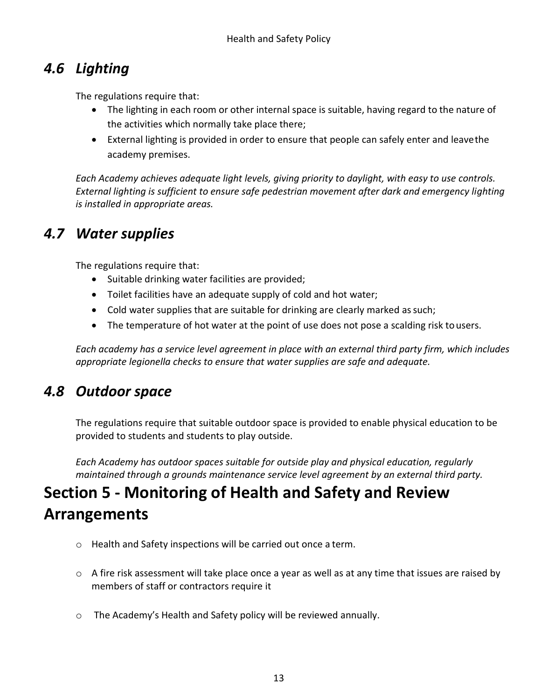### <span id="page-13-0"></span>*4.6 Lighting*

The regulations require that:

- The lighting in each room or other internal space is suitable, having regard to the nature of the activities which normally take place there;
- External lighting is provided in order to ensure that people can safely enter and leavethe academy premises.

*Each Academy achieves adequate light levels, giving priority to daylight, with easy to use controls. External lighting is sufficient to ensure safe pedestrian movement after dark and emergency lighting is installed in appropriate areas.*

### *4.7 Water supplies*

The regulations require that:

- Suitable drinking water facilities are provided;
- Toilet facilities have an adequate supply of cold and hot water;
- Cold water supplies that are suitable for drinking are clearly marked as such;
- The temperature of hot water at the point of use does not pose a scalding risk tousers.

*Each academy has a service level agreement in place with an external third party firm, which includes appropriate legionella checks to ensure that water supplies are safe and adequate.*

### *4.8 Outdoor space*

The regulations require that suitable outdoor space is provided to enable physical education to be provided to students and students to play outside.

*Each Academy has outdoor spaces suitable for outside play and physical education, regularly maintained through a grounds maintenance service level agreement by an external third party.*

## **Section 5 - Monitoring of Health and Safety and Review Arrangements**

- o Health and Safety inspections will be carried out once a term.
- $\circ$  A fire risk assessment will take place once a year as well as at any time that issues are raised by members of staff or contractors require it
- o The Academy's Health and Safety policy will be reviewed annually.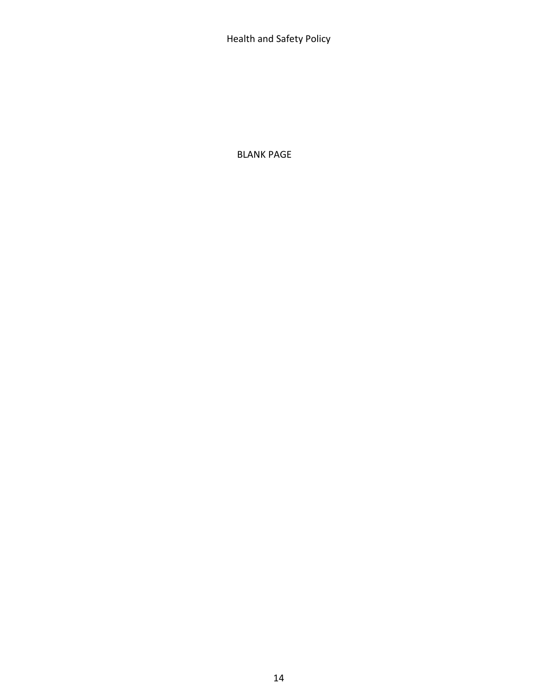BLANK PAGE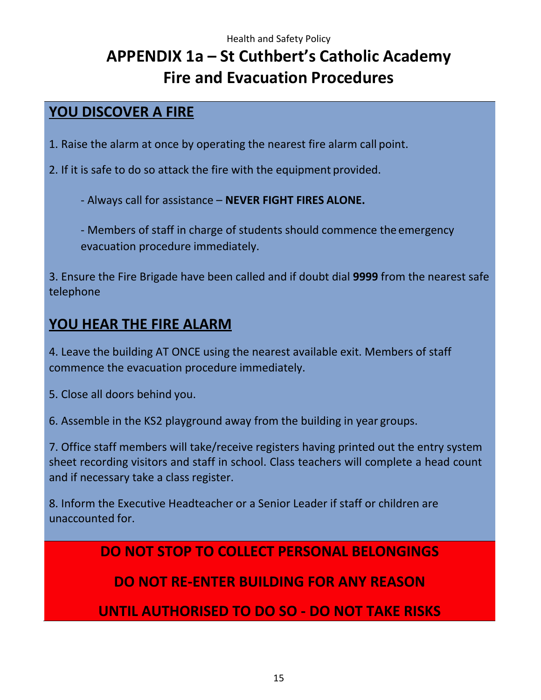### Health and Safety Policy **APPENDIX 1a – St Cuthbert's Catholic Academy Fire and Evacuation Procedures**

#### **YOU DISCOVER A FIRE**

- 1. Raise the alarm at once by operating the nearest fire alarm call point.
- 2. If it is safe to do so attack the fire with the equipment provided.

- Always call for assistance – **NEVER FIGHT FIRES ALONE.**

- Members of staff in charge of students should commence the emergency evacuation procedure immediately.

3. Ensure the Fire Brigade have been called and if doubt dial **9999** from the nearest safe telephone

#### **YOU HEAR THE FIRE ALARM**

4. Leave the building AT ONCE using the nearest available exit. Members of staff commence the evacuation procedure immediately.

5. Close all doors behind you.

6. Assemble in the KS2 playground away from the building in year groups.

7. Office staff members will take/receive registers having printed out the entry system sheet recording visitors and staff in school. Class teachers will complete a head count and if necessary take a class register.

8. Inform the Executive Headteacher or a Senior Leader if staff or children are unaccounted for.

#### **DO NOT STOP TO COLLECT PERSONAL BELONGINGS**

**DO NOT RE-ENTER BUILDING FOR ANY REASON**

**UNTIL AUTHORISED TO DO SO - DO NOT TAKE RISKS**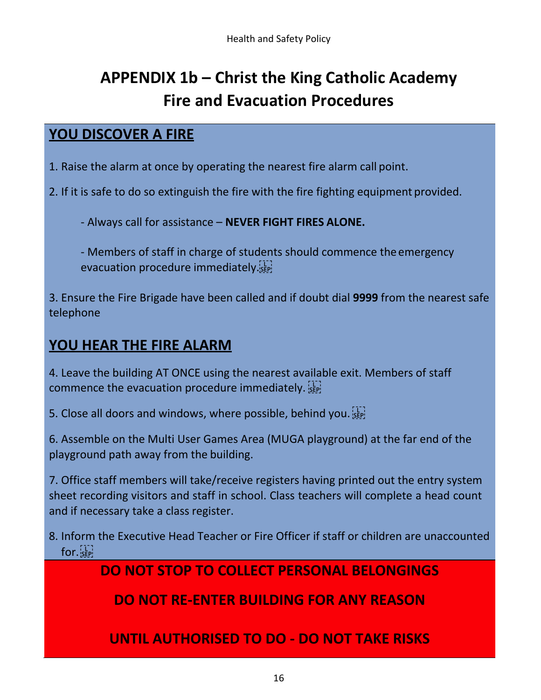# **APPENDIX 1b – Christ the King Catholic Academy Fire and Evacuation Procedures**

#### **YOU DISCOVER A FIRE**

- 1. Raise the alarm at once by operating the nearest fire alarm call point.
- 2. If it is safe to do so extinguish the fire with the fire fighting equipment provided.
	- Always call for assistance **NEVER FIGHT FIRES ALONE.**
	- Members of staff in charge of students should commence the emergency evacuation procedure immediately.

3. Ensure the Fire Brigade have been called and if doubt dial **9999** from the nearest safe telephone

### **YOU HEAR THE FIRE ALARM**

4. Leave the building AT ONCE using the nearest available exit. Members of staff commence the evacuation procedure immediately.

5. Close all doors and windows, where possible, behind you.

6. Assemble on the Multi User Games Area (MUGA playground) at the far end of the playground path away from the building.

7. Office staff members will take/receive registers having printed out the entry system sheet recording visitors and staff in school. Class teachers will complete a head count and if necessary take a class register.

8. Inform the Executive Head Teacher or Fire Officer if staff or children are unaccounted  $for.$ 

### **DO NOT STOP TO COLLECT PERSONAL BELONGINGS**

### **DO NOT RE-ENTER BUILDING FOR ANY REASON**

### **UNTIL AUTHORISED TO DO - DO NOT TAKE RISKS**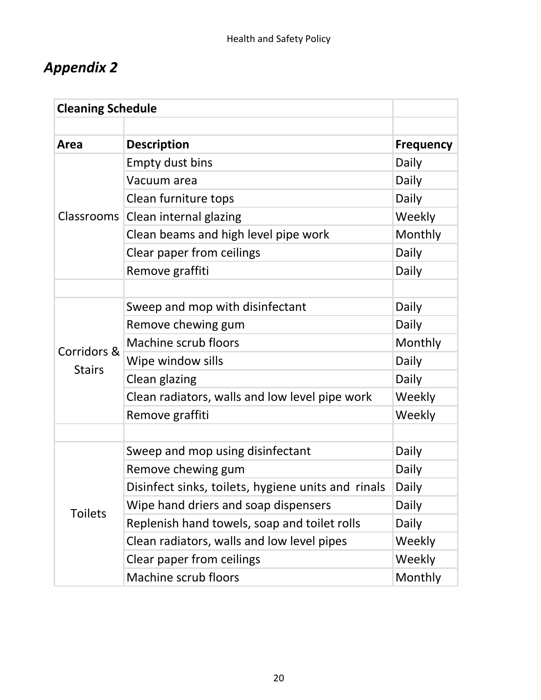## *Appendix 2*

| <b>Cleaning Schedule</b> |                                                    |                  |  |  |  |
|--------------------------|----------------------------------------------------|------------------|--|--|--|
|                          |                                                    |                  |  |  |  |
| Area                     | <b>Description</b>                                 | <b>Frequency</b> |  |  |  |
|                          | <b>Empty dust bins</b>                             | Daily            |  |  |  |
|                          | Vacuum area                                        | Daily            |  |  |  |
|                          | Clean furniture tops                               | Daily            |  |  |  |
| Classrooms               | Clean internal glazing                             | Weekly           |  |  |  |
|                          | Clean beams and high level pipe work               | Monthly          |  |  |  |
|                          | Clear paper from ceilings                          | Daily            |  |  |  |
|                          | Remove graffiti                                    | Daily            |  |  |  |
|                          |                                                    |                  |  |  |  |
|                          | Sweep and mop with disinfectant                    | Daily            |  |  |  |
|                          | Remove chewing gum                                 | Daily            |  |  |  |
| Corridors &              | Machine scrub floors                               | Monthly          |  |  |  |
| <b>Stairs</b>            | Wipe window sills                                  | Daily            |  |  |  |
|                          | Clean glazing                                      | Daily            |  |  |  |
|                          | Clean radiators, walls and low level pipe work     | Weekly           |  |  |  |
|                          | Remove graffiti                                    | Weekly           |  |  |  |
|                          |                                                    |                  |  |  |  |
|                          | Sweep and mop using disinfectant                   | Daily            |  |  |  |
|                          | Remove chewing gum                                 | Daily            |  |  |  |
|                          | Disinfect sinks, toilets, hygiene units and rinals | Daily            |  |  |  |
| <b>Toilets</b>           | Wipe hand driers and soap dispensers               | Daily            |  |  |  |
|                          | Replenish hand towels, soap and toilet rolls       | Daily            |  |  |  |
|                          | Clean radiators, walls and low level pipes         | Weekly           |  |  |  |
|                          | Clear paper from ceilings                          | Weekly           |  |  |  |
|                          | Machine scrub floors                               | Monthly          |  |  |  |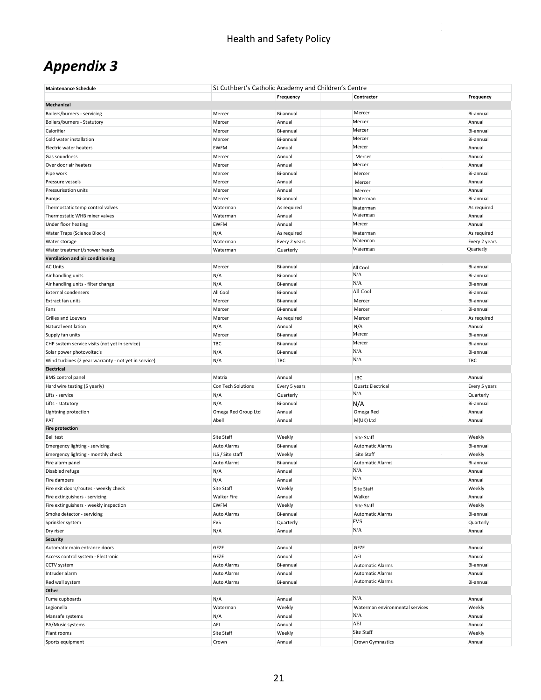# *Appendix 3*

| <b>Maintenance Schedule</b>                              | St Cuthbert's Catholic Academy and Children's Centre |               |                                 |               |
|----------------------------------------------------------|------------------------------------------------------|---------------|---------------------------------|---------------|
|                                                          |                                                      | Frequency     | Contractor                      | Frequency     |
| Mechanical                                               |                                                      |               |                                 |               |
| Boilers/burners - servicing                              | Mercer                                               | Bi-annual     | Mercer                          | Bi-annual     |
| Boilers/burners - Statutory                              | Mercer                                               | Annual        | Mercer                          | Annual        |
| Calorifier                                               | Mercer                                               | Bi-annual     | Mercer                          | Bi-annual     |
| Cold water installation                                  | Mercer                                               | Bi-annual     | Mercer                          | Bi-annual     |
| Electric water heaters                                   | <b>EWFM</b>                                          | Annual        | Mercer                          | Annual        |
| Gas soundness                                            | Mercer                                               | Annual        | Mercer                          | Annual        |
| Over door air heaters                                    | Mercer                                               | Annual        | Mercer                          | Annual        |
| Pipe work                                                | Mercer                                               | Bi-annual     | Mercer                          | Bi-annual     |
| Pressure vessels                                         | Mercer                                               | Annual        | Mercer                          | Annual        |
| Pressurisation units                                     | Mercer                                               | Annual        | Mercer                          | Annual        |
| Pumps                                                    | Mercer                                               | Bi-annual     | Waterman                        | Bi-annual     |
| Thermostatic temp control valves                         | Waterman                                             | As required   | Waterman                        | As required   |
| Thermostatic WHB mixer valves                            | Waterman                                             | Annual        | Waterman                        | Annual        |
| Under floor heating                                      | <b>EWFM</b>                                          | Annual        | Mercer                          | Annual        |
| Water Traps (Science Block)                              | N/A                                                  | As required   | Waterman                        | As required   |
| Water storage                                            | Waterman                                             | Every 2 years | Waterman                        | Every 2 years |
| Water treatment/shower heads                             | Waterman                                             | Quarterly     | Waterman                        | Quarterly     |
| Ventilation and air conditioning                         |                                                      |               |                                 |               |
| <b>AC Units</b>                                          | Mercer                                               | Bi-annual     | All Cool                        | Bi-annual     |
|                                                          |                                                      | Bi-annual     | N/A                             | Bi-annual     |
| Air handling units<br>Air handling units - filter change | N/A<br>N/A                                           | Bi-annual     | N/A                             | Bi-annual     |
| <b>External condensers</b>                               |                                                      |               | All Cool                        |               |
|                                                          | All Cool                                             | Bi-annual     |                                 | Bi-annual     |
| Extract fan units                                        | Mercer                                               | Bi-annual     | Mercer                          | Bi-annual     |
| Fans                                                     | Mercer                                               | Bi-annual     | Mercer                          | Bi-annual     |
| Grilles and Louvers                                      | Mercer                                               | As required   | Mercer                          | As required   |
| Natural ventilation                                      | N/A                                                  | Annual        | N/A                             | Annual        |
| Supply fan units                                         | Mercer                                               | Bi-annual     | Mercer                          | Bi-annual     |
| CHP system service visits (not yet in service)           | TBC                                                  | Bi-annual     | Mercer                          | Bi-annual     |
| Solar power photovoltac's                                | N/A                                                  | Bi-annual     | N/A                             | Bi-annual     |
| Wind turbines (2 year warranty - not yet in service)     | N/A                                                  | <b>TBC</b>    | N/A                             | TBC           |
| Electrical                                               |                                                      |               |                                 |               |
| <b>BMS</b> control panel                                 | Matrix                                               | Annual        | <b>JBC</b>                      | Annual        |
| Hard wire testing (5 yearly)                             | Con Tech Solutions                                   | Every 5 years | Quartz Electrical               | Every 5 years |
| Lifts - service                                          | N/A                                                  | Quarterly     | N/A                             | Quarterly     |
| Lifts - statutory                                        | N/A                                                  | Bi-annual     | N/A                             | Bi-annual     |
| Lightning protection                                     | Omega Red Group Ltd                                  | Annual        | Omega Red                       | Annual        |
| PAT                                                      | Abell                                                | Annual        | M(UK) Ltd                       | Annual        |
| <b>Fire protection</b>                                   |                                                      |               |                                 |               |
| <b>Bell test</b>                                         | <b>Site Staff</b>                                    | Weekly        | Site Staff                      | Weekly        |
| Emergency lighting - servicing                           | Auto Alarms                                          | Bi-annual     | <b>Automatic Alarms</b>         | Bi-annual     |
| Emergency lighting - monthly check                       | ILS / Site staff                                     | Weekly        | Site Staff                      | Weekly        |
| Fire alarm panel                                         | Auto Alarms                                          | Bi-annual     | <b>Automatic Alarms</b>         | Bi-annual     |
| Disabled refuge                                          | N/A                                                  | Annual        | N/A                             | Annual        |
| Fire dampers                                             | N/A                                                  | Annual        | N/A                             | Annual        |
| Fire exit doors/routes - weekly check                    | Site Staff                                           | Weekly        | Site Staff                      | Weekly        |
| Fire extinguishers - servicing                           | <b>Walker Fire</b>                                   | Annual        | Walker                          | Annual        |
| Fire extinguishers - weekly inspection                   | <b>EWFM</b>                                          | Weekly        | Site Staff                      | Weekly        |
| Smoke detector - servicing                               | Auto Alarms                                          | Bi-annual     | <b>Automatic Alarms</b>         | Bi-annual     |
| Sprinkler system                                         | <b>FVS</b>                                           | Quarterly     | <b>FVS</b>                      | Quarterly     |
| Dry riser                                                | N/A                                                  | Annual        | N/A                             | Annual        |
| <b>Security</b>                                          |                                                      |               |                                 |               |
| Automatic main entrance doors                            | GEZE                                                 | Annual        | GEZE                            | Annual        |
|                                                          | GEZE                                                 | Annual        | AEI                             | Annual        |
| Access control system - Electronic                       |                                                      |               |                                 |               |
| CCTV system                                              | Auto Alarms                                          | Bi-annual     | <b>Automatic Alarms</b>         | Bi-annual     |
| Intruder alarm                                           | <b>Auto Alarms</b>                                   | Annual        | <b>Automatic Alarms</b>         | Annual        |
| Red wall system                                          | Auto Alarms                                          | Bi-annual     | <b>Automatic Alarms</b>         | Bi-annual     |
| Other                                                    |                                                      |               |                                 |               |
| Fume cupboards                                           | N/A                                                  | Annual        | N/A                             | Annual        |
| Legionella                                               | Waterman                                             | Weekly        | Waterman environmental services | Weekly        |
| Mansafe systems                                          | N/A                                                  | Annual        | N/A                             | Annual        |
| PA/Music systems                                         | AEI                                                  | Annual        | AEI                             | Annual        |
| Plant rooms                                              | Site Staff                                           | Weekly        | Site Staff                      | Weekly        |
| Sports equipment                                         | Crown                                                | Annual        | Crown Gymnastics                | Annual        |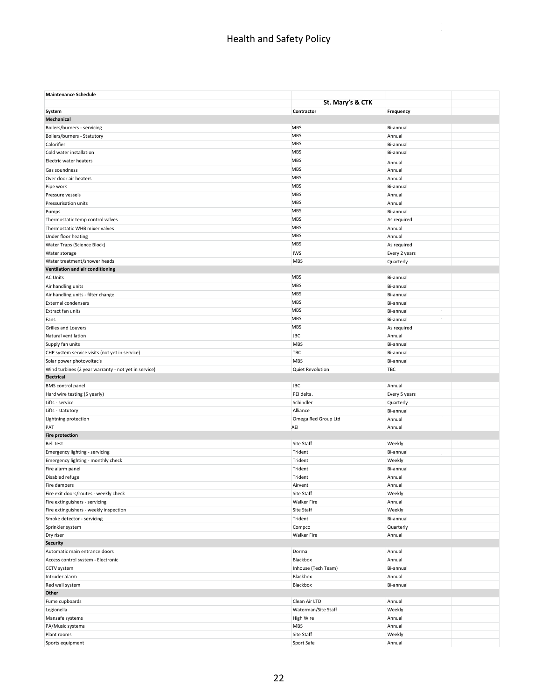| <b>Maintenance Schedule</b>                          |                     |               |  |
|------------------------------------------------------|---------------------|---------------|--|
|                                                      | St. Mary's & CTK    |               |  |
|                                                      | Contractor          | Frequency     |  |
| System<br>Mechanical                                 |                     |               |  |
|                                                      | <b>MBS</b>          | Bi-annual     |  |
| Boilers/burners - servicing                          | <b>MBS</b>          |               |  |
| Boilers/burners - Statutory                          |                     | Annual        |  |
| Calorifier                                           | <b>MBS</b>          | Bi-annual     |  |
| Cold water installation                              | <b>MBS</b>          | Bi-annual     |  |
| Electric water heaters                               | <b>MBS</b>          | Annual        |  |
| Gas soundness                                        | <b>MBS</b>          | Annual        |  |
| Over door air heaters                                | <b>MBS</b>          | Annual        |  |
| Pipe work                                            | <b>MBS</b>          | Bi-annual     |  |
| Pressure vessels                                     | <b>MBS</b>          | Annual        |  |
| Pressurisation units                                 | <b>MBS</b>          | Annual        |  |
| Pumps                                                | <b>MBS</b>          | Bi-annual     |  |
| Thermostatic temp control valves                     | <b>MBS</b>          | As required   |  |
| Thermostatic WHB mixer valves                        | <b>MBS</b>          | Annual        |  |
| Under floor heating                                  | <b>MBS</b>          | Annual        |  |
| Water Traps (Science Block)                          | <b>MBS</b>          | As required   |  |
| Water storage                                        | <b>IWS</b>          | Every 2 years |  |
| Water treatment/shower heads                         | <b>MBS</b>          | Quarterly     |  |
| Ventilation and air conditioning                     |                     |               |  |
| <b>AC Units</b>                                      | <b>MBS</b>          |               |  |
|                                                      |                     | Bi-annual     |  |
| Air handling units                                   | <b>MBS</b>          | Bi-annual     |  |
| Air handling units - filter change                   | <b>MBS</b>          | Bi-annual     |  |
| <b>External condensers</b>                           | <b>MBS</b>          | Bi-annual     |  |
| Extract fan units                                    | <b>MBS</b>          | Bi-annual     |  |
| Fans                                                 | <b>MBS</b>          | Bi-annual     |  |
| Grilles and Louvers                                  | <b>MBS</b>          | As required   |  |
| Natural ventilation                                  | <b>JBC</b>          | Annual        |  |
| Supply fan units                                     | <b>MBS</b>          | Bi-annual     |  |
| CHP system service visits (not yet in service)       | TBC                 | Bi-annual     |  |
| Solar power photovoltac's                            | <b>MBS</b>          | Bi-annual     |  |
| Wind turbines (2 year warranty - not yet in service) | Quiet Revolution    | TBC           |  |
| <b>Electrical</b>                                    |                     |               |  |
| <b>BMS</b> control panel                             | <b>JBC</b>          | Annual        |  |
| Hard wire testing (5 yearly)                         | PEI delta.          | Every 5 years |  |
| Lifts - service                                      | Schindler           | Quarterly     |  |
| Lifts - statutory                                    | Alliance            | Bi-annual     |  |
| Lightning protection                                 | Omega Red Group Ltd | Annual        |  |
| PAT                                                  | AEI                 | Annual        |  |
| <b>Fire protection</b>                               |                     |               |  |
|                                                      | <b>Site Staff</b>   | Weekly        |  |
| <b>Bell test</b>                                     |                     |               |  |
| Emergency lighting - servicing                       | Trident             | Bi-annual     |  |
| Emergency lighting - monthly check                   | Trident             | Weekly        |  |
| Fire alarm panel                                     | Trident             | Bi-annual     |  |
| Disabled refuge                                      | Trident             | Annual        |  |
| Fire dampers                                         | Airvent             | Annual        |  |
| Fire exit doors/routes - weekly check                | Site Staff          | Weekly        |  |
| Fire extinguishers - servicing                       | <b>Walker Fire</b>  | Annual        |  |
| Fire extinguishers - weekly inspection               | Site Staff          | Weekly        |  |
| Smoke detector - servicing                           | Trident             | Bi-annual     |  |
| Sprinkler system                                     | Compco              | Quarterly     |  |
| Dry riser                                            | <b>Walker Fire</b>  | Annual        |  |
| <b>Security</b>                                      |                     |               |  |
| Automatic main entrance doors                        | Dorma               | Annual        |  |
| Access control system - Electronic                   | Blackbox            | Annual        |  |
| CCTV system                                          | Inhouse (Tech Team) | Bi-annual     |  |
| Intruder alarm                                       | Blackbox            | Annual        |  |
| Red wall system                                      | Blackbox            | Bi-annual     |  |
| Other                                                |                     |               |  |
| Fume cupboards                                       | Clean Air LTD       | Annual        |  |
|                                                      | Waterman/Site Staff |               |  |
| Legionella                                           |                     | Weekly        |  |
| Mansafe systems                                      | High Wire           | Annual        |  |
| PA/Music systems                                     | MBS                 | Annual        |  |
| Plant rooms                                          | Site Staff          | Weekly        |  |
| Sports equipment                                     | Sport Safe          | Annual        |  |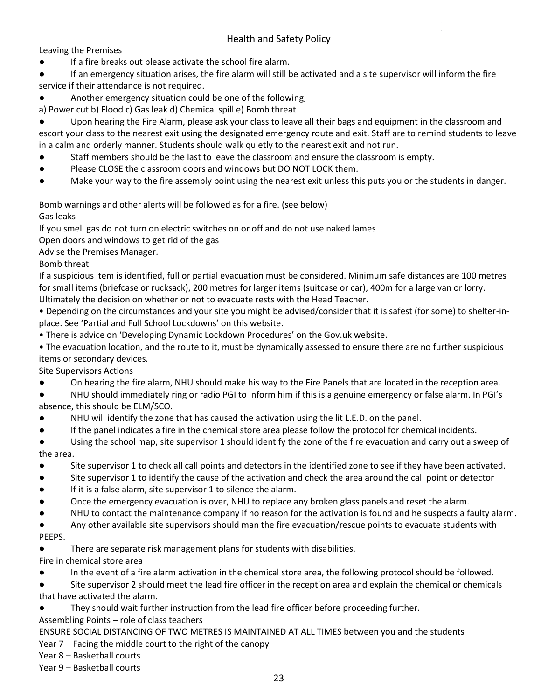Leaving the Premises

- If a fire breaks out please activate the school fire alarm.
- If an emergency situation arises, the fire alarm will still be activated and a site supervisor will inform the fire service if their attendance is not required.
- Another emergency situation could be one of the following,
- a) Power cut b) Flood c) Gas leak d) Chemical spill e) Bomb threat

Upon hearing the Fire Alarm, please ask your class to leave all their bags and equipment in the classroom and escort your class to the nearest exit using the designated emergency route and exit. Staff are to remind students to leave in a calm and orderly manner. Students should walk quietly to the nearest exit and not run.

- Staff members should be the last to leave the classroom and ensure the classroom is empty.
- Please CLOSE the classroom doors and windows but DO NOT LOCK them.
- Make your way to the fire assembly point using the nearest exit unless this puts you or the students in danger.

Bomb warnings and other alerts will be followed as for a fire. (see below)

Gas leaks

If you smell gas do not turn on electric switches on or off and do not use naked lames

Open doors and windows to get rid of the gas

Advise the Premises Manager.

Bomb threat

If a suspicious item is identified, full or partial evacuation must be considered. Minimum safe distances are 100 metres for small items (briefcase or rucksack), 200 metres for larger items (suitcase or car), 400m for a large van or lorry. Ultimately the decision on whether or not to evacuate rests with the Head Teacher.

• Depending on the circumstances and your site you might be advised/consider that it is safest (for some) to shelter-inplace. See 'Partial and Full School Lockdowns' on this website.

• There is advice on 'Developing Dynamic Lockdown Procedures' on the Gov.uk website.

• The evacuation location, and the route to it, must be dynamically assessed to ensure there are no further suspicious items or secondary devices.

Site Supervisors Actions

- On hearing the fire alarm, NHU should make his way to the Fire Panels that are located in the reception area.
- NHU should immediately ring or radio PGI to inform him if this is a genuine emergency or false alarm. In PGI's absence, this should be ELM/SCO.
- NHU will identify the zone that has caused the activation using the lit L.E.D. on the panel.
- If the panel indicates a fire in the chemical store area please follow the protocol for chemical incidents.
- Using the school map, site supervisor 1 should identify the zone of the fire evacuation and carry out a sweep of the area.
- Site supervisor 1 to check all call points and detectors in the identified zone to see if they have been activated.
- Site supervisor 1 to identify the cause of the activation and check the area around the call point or detector
- If it is a false alarm, site supervisor 1 to silence the alarm.
- Once the emergency evacuation is over, NHU to replace any broken glass panels and reset the alarm.
- NHU to contact the maintenance company if no reason for the activation is found and he suspects a faulty alarm.
- Any other available site supervisors should man the fire evacuation/rescue points to evacuate students with PEEPS.

● There are separate risk management plans for students with disabilities.

Fire in chemical store area

In the event of a fire alarm activation in the chemical store area, the following protocol should be followed.

● Site supervisor 2 should meet the lead fire officer in the reception area and explain the chemical or chemicals that have activated the alarm.

- They should wait further instruction from the lead fire officer before proceeding further.
- Assembling Points role of class teachers

ENSURE SOCIAL DISTANCING OF TWO METRES IS MAINTAINED AT ALL TIMES between you and the students Year 7 – Facing the middle court to the right of the canopy

Year 8 – Basketball courts

Year 9 – Basketball courts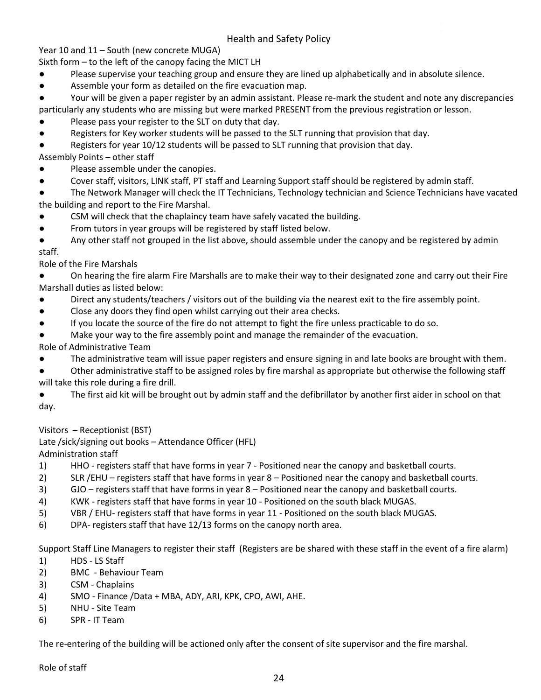Year 10 and 11 – South (new concrete MUGA)

Sixth form – to the left of the canopy facing the MICT LH

- Please supervise your teaching group and ensure they are lined up alphabetically and in absolute silence.
- Assemble your form as detailed on the fire evacuation map.
- Your will be given a paper register by an admin assistant. Please re-mark the student and note any discrepancies particularly any students who are missing but were marked PRESENT from the previous registration or lesson.
- Please pass your register to the SLT on duty that day.
- Registers for Key worker students will be passed to the SLT running that provision that day.
- Registers for year 10/12 students will be passed to SLT running that provision that day.

Assembly Points – other staff

- Please assemble under the canopies.
- Cover staff, visitors, LINK staff, PT staff and Learning Support staff should be registered by admin staff.

The Network Manager will check the IT Technicians, Technology technician and Science Technicians have vacated the building and report to the Fire Marshal.

- CSM will check that the chaplaincy team have safely vacated the building.
- From tutors in year groups will be registered by staff listed below.

● Any other staff not grouped in the list above, should assemble under the canopy and be registered by admin staff.

Role of the Fire Marshals

● On hearing the fire alarm Fire Marshalls are to make their way to their designated zone and carry out their Fire Marshall duties as listed below:

- Direct any students/teachers / visitors out of the building via the nearest exit to the fire assembly point.
- Close any doors they find open whilst carrying out their area checks.
- If you locate the source of the fire do not attempt to fight the fire unless practicable to do so.
- Make your way to the fire assembly point and manage the remainder of the evacuation.

Role of Administrative Team

The administrative team will issue paper registers and ensure signing in and late books are brought with them.

Other administrative staff to be assigned roles by fire marshal as appropriate but otherwise the following staff will take this role during a fire drill.

The first aid kit will be brought out by admin staff and the defibrillator by another first aider in school on that day.

Visitors – Receptionist (BST)

Late /sick/signing out books – Attendance Officer (HFL)

Administration staff

- 1) HHO registers staff that have forms in year 7 Positioned near the canopy and basketball courts.
- 2) SLR /EHU registers staff that have forms in year 8 Positioned near the canopy and basketball courts.
- 3) GJO registers staff that have forms in year 8 Positioned near the canopy and basketball courts.
- 4) KWK registers staff that have forms in year 10 Positioned on the south black MUGAS.
- 5) VBR / EHU- registers staff that have forms in year 11 Positioned on the south black MUGAS.
- 6) DPA- registers staff that have 12/13 forms on the canopy north area.

Support Staff Line Managers to register their staff (Registers are be shared with these staff in the event of a fire alarm)

- 1) HDS LS Staff
- 2) BMC Behaviour Team
- 3) CSM Chaplains
- 4) SMO Finance /Data + MBA, ADY, ARI, KPK, CPO, AWI, AHE.
- 5) NHU Site Team
- 6) SPR IT Team

The re-entering of the building will be actioned only after the consent of site supervisor and the fire marshal.

Role of staff